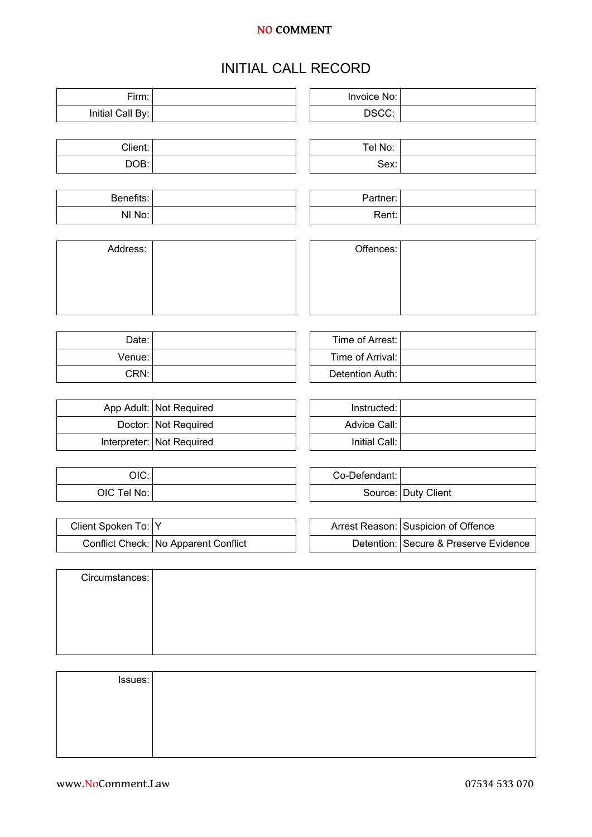## **NO COMMENT**

## INITIAL CALL RECORD

Firm: Invoice No: Invoice No:

| Initial Call By:    |                                      | DSCC:            |                                       |
|---------------------|--------------------------------------|------------------|---------------------------------------|
|                     |                                      |                  |                                       |
| Client:             |                                      | Tel No:          |                                       |
| DOB:                |                                      | Sex:             |                                       |
|                     |                                      |                  |                                       |
| Benefits:           |                                      | Partner:         |                                       |
| NI No:              |                                      | Rent:            |                                       |
|                     |                                      |                  |                                       |
| Address:            |                                      | Offences:        |                                       |
|                     |                                      |                  |                                       |
|                     |                                      |                  |                                       |
|                     |                                      |                  |                                       |
|                     |                                      |                  |                                       |
| Date:               |                                      | Time of Arrest:  |                                       |
| Venue:              |                                      | Time of Arrival: |                                       |
| CRN:                |                                      | Detention Auth:  |                                       |
|                     |                                      |                  |                                       |
|                     |                                      |                  |                                       |
|                     | App Adult: Not Required              | Instructed:      |                                       |
| Doctor:             | Not Required                         | Advice Call:     |                                       |
| Interpreter:        | Not Required                         | Initial Call:    |                                       |
|                     |                                      |                  |                                       |
| OIC:                |                                      | Co-Defendant:    |                                       |
| OIC Tel No:         |                                      | Source:          | Duty Client                           |
|                     |                                      |                  |                                       |
| Client Spoken To: Y |                                      |                  | Arrest Reason: Suspicion of Offence   |
|                     | Conflict Check: No Apparent Conflict |                  | Detention: Secure & Preserve Evidence |
|                     |                                      |                  |                                       |
| Circumstances:      |                                      |                  |                                       |
|                     |                                      |                  |                                       |
|                     |                                      |                  |                                       |
|                     |                                      |                  |                                       |
|                     |                                      |                  |                                       |
|                     |                                      |                  |                                       |
| Issues:             |                                      |                  |                                       |
|                     |                                      |                  |                                       |
|                     |                                      |                  |                                       |
|                     |                                      |                  |                                       |
|                     |                                      |                  |                                       |
|                     |                                      |                  |                                       |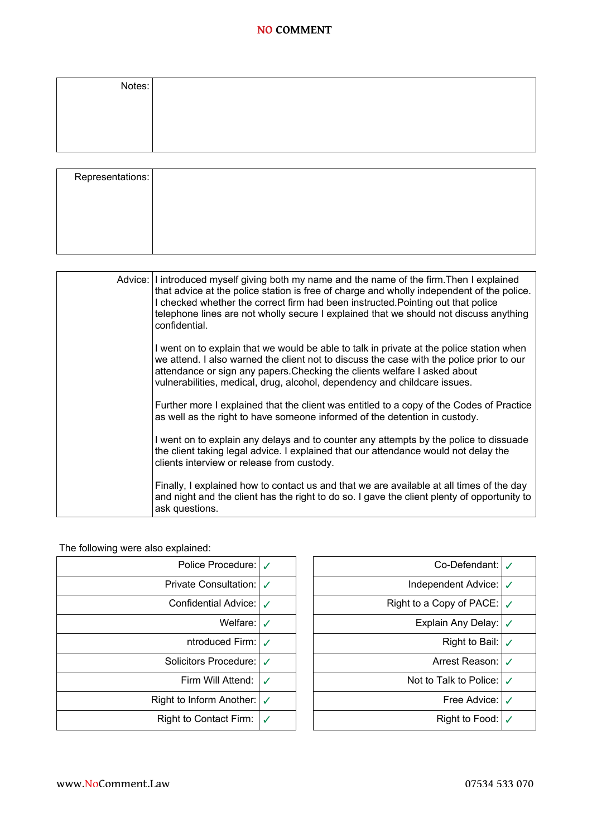## **NO COMMENT**

| Notes: |  |  |
|--------|--|--|
|        |  |  |
|        |  |  |
|        |  |  |

| Representations: |                                                                                                                                                                                                                                                                                                                                                                                                                                                                                                                                                                                                                                                                                                                                         |
|------------------|-----------------------------------------------------------------------------------------------------------------------------------------------------------------------------------------------------------------------------------------------------------------------------------------------------------------------------------------------------------------------------------------------------------------------------------------------------------------------------------------------------------------------------------------------------------------------------------------------------------------------------------------------------------------------------------------------------------------------------------------|
|                  | Advice: I introduced myself giving both my name and the name of the firm. Then I explained<br>that advice at the police station is free of charge and wholly independent of the police.<br>I checked whether the correct firm had been instructed. Pointing out that police<br>telephone lines are not wholly secure I explained that we should not discuss anything<br>confidential.<br>I went on to explain that we would be able to talk in private at the police station when<br>we attend. I also warned the client not to discuss the case with the police prior to our<br>attendance or sign any papers. Checking the clients welfare I asked about<br>vulnerabilities, medical, drug, alcohol, dependency and childcare issues. |

Further more I explained that the client was entitled to a copy of the Codes of Practice

I went on to explain any delays and to counter any attempts by the police to dissuade the client taking legal advice. I explained that our attendance would not delay the

Finally, I explained how to contact us and that we are available at all times of the day and night and the client has the right to do so. I gave the client plenty of opportunity to

as well as the right to have someone informed of the detention in custody.

clients interview or release from custody.

| The following were also explained: |                  |  |  |  |
|------------------------------------|------------------|--|--|--|
| Police Procedure:   ∠              |                  |  |  |  |
| Private Consultation:              | ℐ                |  |  |  |
| Confidential Advice:               | J                |  |  |  |
| Welfare: I                         | ✓                |  |  |  |
| ntroduced Firm:                    | $\boldsymbol{J}$ |  |  |  |
| Solicitors Procedure:              | J                |  |  |  |
| Firm Will Attend:                  | ✓                |  |  |  |
| Right to Inform Another:           | ✓                |  |  |  |
| Right to Contact Firm:             |                  |  |  |  |

ask questions.

| Police Procedure:             | J                | Co-Defendant:                      | $\boldsymbol{\mathcal{J}}$ |
|-------------------------------|------------------|------------------------------------|----------------------------|
| <b>Private Consultation:</b>  |                  | Independent Advice: √              |                            |
| Confidential Advice:          | J                | Right to a Copy of PACE: $\sqrt{}$ |                            |
| Welfare:                      | ✓                | Explain Any Delay:                 | $\checkmark$               |
| ntroduced Firm:               | $\boldsymbol{J}$ | Right to Bail: $\sqrt{}$           |                            |
| Solicitors Procedure:         | J                | Arrest Reason:                     | $\boldsymbol{J}$           |
| Firm Will Attend:             | ✓                | Not to Talk to Police:             | $\boldsymbol{J}$           |
| Right to Inform Another:      | $\checkmark$     | Free Advice:                       | √                          |
| <b>Right to Contact Firm:</b> | $\checkmark$     | Right to Food:                     | $\checkmark$               |
|                               |                  |                                    |                            |